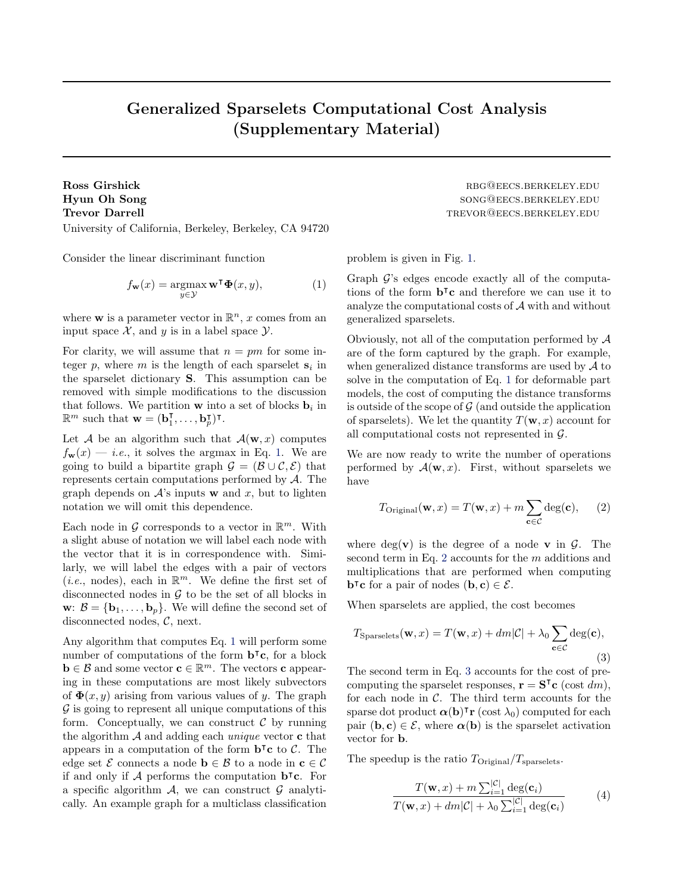## Generalized Sparselets Computational Cost Analysis (Supplementary Material)

University of California, Berkeley, Berkeley, CA 94720

Consider the linear discriminant function

$$
f_{\mathbf{w}}(x) = \operatorname*{argmax}_{y \in \mathcal{Y}} \mathbf{w}^{\mathsf{T}} \mathbf{\Phi}(x, y), \tag{1}
$$

where **w** is a parameter vector in  $\mathbb{R}^n$ , x comes from an input space  $\mathcal{X}$ , and  $y$  is in a label space  $\mathcal{Y}$ .

For clarity, we will assume that  $n = pm$  for some integer p, where m is the length of each sparselet  $s_i$  in the sparselet dictionary S. This assumption can be removed with simple modifications to the discussion that follows. We partition **w** into a set of blocks  $\mathbf{b}_i$  in  $\mathbb{R}^m$  such that  $\mathbf{w} = (\mathbf{b}_1^{\mathsf{T}})$  $\frac{1}{1}, \ldots, \mathbf{b}_p^{\mathsf{T}}$ )<sup>T</sup>.

Let A be an algorithm such that  $\mathcal{A}(\mathbf{w},x)$  computes  $f_{\mathbf{w}}(x) - i.e.,$  it solves the argmax in Eq. 1. We are going to build a bipartite graph  $\mathcal{G} = (\mathcal{B} \cup \mathcal{C}, \mathcal{E})$  that represents certain computations performed by A. The graph depends on  $\mathcal{A}$ 's inputs w and x, but to lighten notation we will omit this dependence.

Each node in  $\mathcal G$  corresponds to a vector in  $\mathbb R^m$ . With a slight abuse of notation we will label each node with the vector that it is in correspondence with. Similarly, we will label the edges with a pair of vectors (*i.e.*, nodes), each in  $\mathbb{R}^m$ . We define the first set of disconnected nodes in  $G$  to be the set of all blocks in w:  $\mathcal{B} = \{b_1, \ldots, b_n\}$ . We will define the second set of disconnected nodes,  $\mathcal{C}$ , next.

Any algorithm that computes Eq. 1 will perform some number of computations of the form  $\mathbf{b}^{\mathsf{T}}\mathbf{c}$ , for a block  $\mathbf{b} \in \mathcal{B}$  and some vector  $\mathbf{c} \in \mathbb{R}^m$ . The vectors **c** appearing in these computations are most likely subvectors of  $\Phi(x, y)$  arising from various values of y. The graph  $\mathcal G$  is going to represent all unique computations of this form. Conceptually, we can construct  $\mathcal C$  by running the algorithm  $A$  and adding each *unique* vector **c** that appears in a computation of the form  $\mathbf{b}^\intercal \mathbf{c}$  to  $\mathcal{C}$ . The edge set  $\mathcal E$  connects a node  $\mathbf b \in \mathcal B$  to a node in  $\mathbf c \in \mathcal C$ if and only if  $A$  performs the computation  $\mathbf{b}^{\mathsf{T}}\mathbf{c}$ . For a specific algorithm  $A$ , we can construct  $G$  analytically. An example graph for a multiclass classification

Ross Girshick **Ross Girshick** research research research research research research research research research research research research research research research research research research research research research res Hyun Oh Song song@eecs.berkeley.edu Trevor Darrell trevor and the settlement of the settlement of the settlement of the settlement of the settlement of the settlement of the settlement of the settlement of the settlement of the settlement of the settlement o

problem is given in Fig. [1.](#page-1-0)

Graph  $\mathcal{G}$ 's edges encode exactly all of the computations of the form  $\mathbf{b}^\intercal \mathbf{c}$  and therefore we can use it to analyze the computational costs of A with and without generalized sparselets.

Obviously, not all of the computation performed by A are of the form captured by the graph. For example, when generalized distance transforms are used by  $\mathcal A$  to solve in the computation of Eq. 1 for deformable part models, the cost of computing the distance transforms is outside of the scope of  $\mathcal G$  (and outside the application of sparselets). We let the quantity  $T(\mathbf{w}, x)$  account for all computational costs not represented in  $\mathcal{G}$ .

We are now ready to write the number of operations performed by  $\mathcal{A}(\mathbf{w},x)$ . First, without sparselets we have

$$
T_{\text{Original}}(\mathbf{w}, x) = T(\mathbf{w}, x) + m \sum_{\mathbf{c} \in \mathcal{C}} \text{deg}(\mathbf{c}), \quad (2)
$$

where  $deg(v)$  is the degree of a node v in  $\mathcal{G}$ . The second term in Eq. 2 accounts for the m additions and multiplications that are performed when computing  $\mathbf{b}^\intercal \mathbf{c}$  for a pair of nodes  $(\mathbf{b}, \mathbf{c}) \in \mathcal{E}$ .

When sparselets are applied, the cost becomes

$$
T_{\text{Sparselets}}(\mathbf{w}, x) = T(\mathbf{w}, x) + dm|\mathcal{C}| + \lambda_0 \sum_{\mathbf{c} \in \mathcal{C}} \text{deg}(\mathbf{c}),
$$
\n(3)

The second term in Eq. 3 accounts for the cost of precomputing the sparselet responses,  $\mathbf{r} = \mathbf{S}^{\mathsf{T}} \mathbf{c}$  (cost  $dm$ ), for each node in  $\mathcal{C}$ . The third term accounts for the sparse dot product  $\alpha(\mathbf{b})^{\dagger}$ r (cost  $\lambda_0$ ) computed for each pair  $(b, c) \in \mathcal{E}$ , where  $\alpha(b)$  is the sparselet activation vector for b.

The speedup is the ratio  $T_{\text{Original}}/T_{\text{sparselets}}$ .

$$
\frac{T(\mathbf{w},x) + m \sum_{i=1}^{|\mathcal{C}|} \deg(\mathbf{c}_i)}{T(\mathbf{w},x) + dm|\mathcal{C}| + \lambda_0 \sum_{i=1}^{|\mathcal{C}|} \deg(\mathbf{c}_i)}
$$
(4)